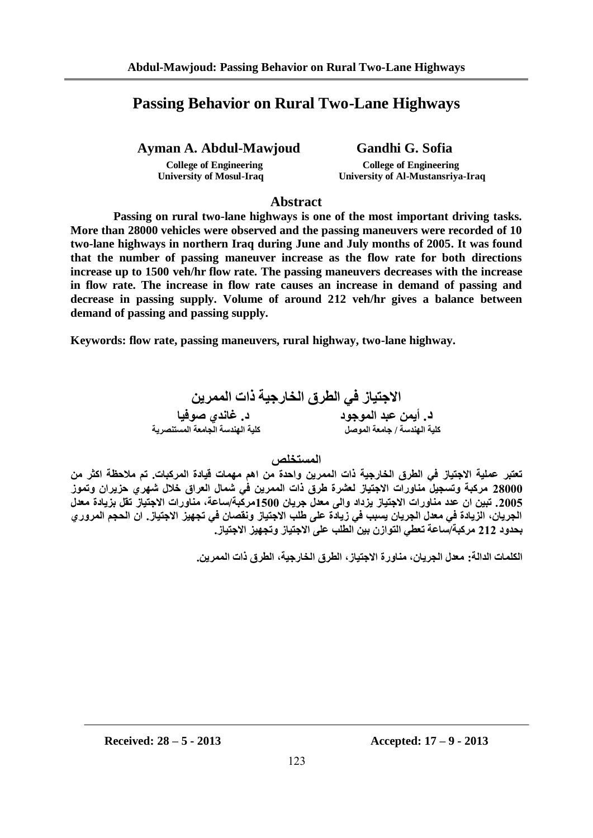# **Passing Behavior on Rural Two-Lane Highways**

**Ayman A. Abdul-Mawjoud Gandhi G. Sofia** 

 **University of Mosul-Iraq University of Al-Mustansriya-Iraq**

 **College of Engineering College of Engineering**

## **Abstract**

 **Passing on rural two-lane highways is one of the most important driving tasks. More than 28000 vehicles were observed and the passing maneuvers were recorded of 10 two-lane highways in northern Iraq during June and July months of 2005. It was found that the number of passing maneuver increase as the flow rate for both directions increase up to 1500 veh/hr flow rate. The passing maneuvers decreases with the increase in flow rate. The increase in flow rate causes an increase in demand of passing and decrease in passing supply. Volume of around 212 veh/hr gives a balance between demand of passing and passing supply.**

**Keywords: flow rate, passing maneuvers, rural highway, two-lane highway.**

**االجتياز في الطرق الخارجية ذات الممرين د. أيمن عبد الموجود د. غاندي صوفيا كلية الهندسة / جامعة الموصل كلية الهندسة الجامعة المستنصرية**

**المستخلص**

**تعتبر عملية االجتياز في الطرق الخارجية ذات الممرين واحدة من اهم مهمات قيادة المركبات. تم مالحظة اكثر من 00222 مركبة وتسجيل مناورات االجتياز لعشرة طرق ذات الممرين في شمال العراق خالل شهري حزيران وتموز .0222 تبين ان عدد مناورات االجتياز يزداد والى معدل جريان 0222مركبة/ساعة, مناورات االجتياز تقل بزيادة معدل الجريان, الزيادة في معدل الجريان يسبب في زيادة على طلب االجتياز ونقصان في تجهيز االجتياز. ان الحجم المروري بحدود 000 مركبة/ساعة تعطي التوازن بين الطلب على االجتياز وتجهيز االجتياز.**

**الكلمات الدالة: معدل الجريان, مناورة االجتياز, الطرق الخارجية, الطرق ذات الممرين.**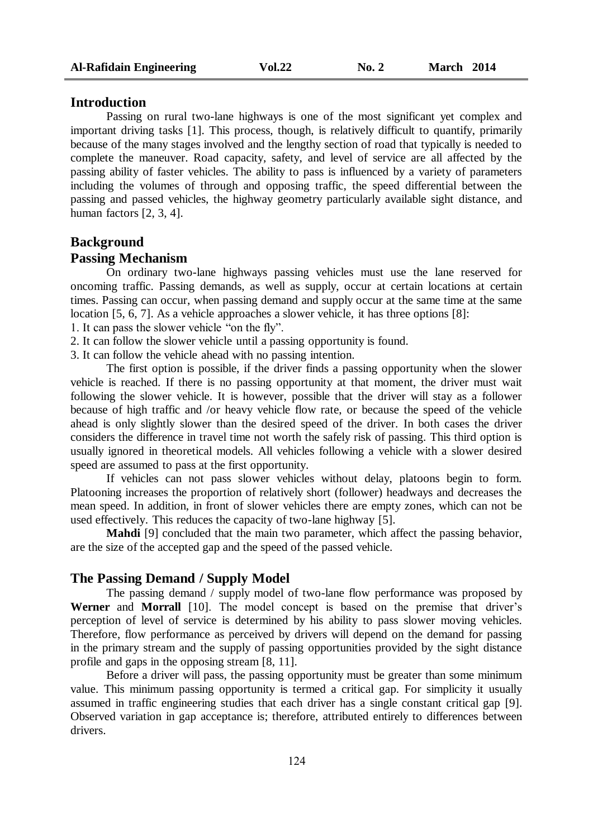#### **Introduction**

Passing on rural two-lane highways is one of the most significant yet complex and important driving tasks [1]. This process, though, is relatively difficult to quantify, primarily because of the many stages involved and the lengthy section of road that typically is needed to complete the maneuver. Road capacity, safety, and level of service are all affected by the passing ability of faster vehicles. The ability to pass is influenced by a variety of parameters including the volumes of through and opposing traffic, the speed differential between the passing and passed vehicles, the highway geometry particularly available sight distance, and human factors [2, 3, 4].

# **Background**

# **Passing Mechanism**

On ordinary two-lane highways passing vehicles must use the lane reserved for oncoming traffic. Passing demands, as well as supply, occur at certain locations at certain times. Passing can occur, when passing demand and supply occur at the same time at the same location [5, 6, 7]. As a vehicle approaches a slower vehicle, it has three options [8]:

1. It can pass the slower vehicle "on the fly".

2. It can follow the slower vehicle until a passing opportunity is found.

3. It can follow the vehicle ahead with no passing intention.

The first option is possible, if the driver finds a passing opportunity when the slower vehicle is reached. If there is no passing opportunity at that moment, the driver must wait following the slower vehicle. It is however, possible that the driver will stay as a follower because of high traffic and /or heavy vehicle flow rate, or because the speed of the vehicle ahead is only slightly slower than the desired speed of the driver. In both cases the driver considers the difference in travel time not worth the safely risk of passing. This third option is usually ignored in theoretical models. All vehicles following a vehicle with a slower desired speed are assumed to pass at the first opportunity.

If vehicles can not pass slower vehicles without delay, platoons begin to form. Platooning increases the proportion of relatively short (follower) headways and decreases the mean speed. In addition, in front of slower vehicles there are empty zones, which can not be used effectively. This reduces the capacity of two-lane highway [5].

**Mahdi** [9] concluded that the main two parameter, which affect the passing behavior, are the size of the accepted gap and the speed of the passed vehicle.

#### **The Passing Demand / Supply Model**

The passing demand / supply model of two-lane flow performance was proposed by **Werner** and **Morrall** [10]. The model concept is based on the premise that driver's perception of level of service is determined by his ability to pass slower moving vehicles. Therefore, flow performance as perceived by drivers will depend on the demand for passing in the primary stream and the supply of passing opportunities provided by the sight distance profile and gaps in the opposing stream [8, 11].

Before a driver will pass, the passing opportunity must be greater than some minimum value. This minimum passing opportunity is termed a critical gap. For simplicity it usually assumed in traffic engineering studies that each driver has a single constant critical gap [9]. Observed variation in gap acceptance is; therefore, attributed entirely to differences between drivers.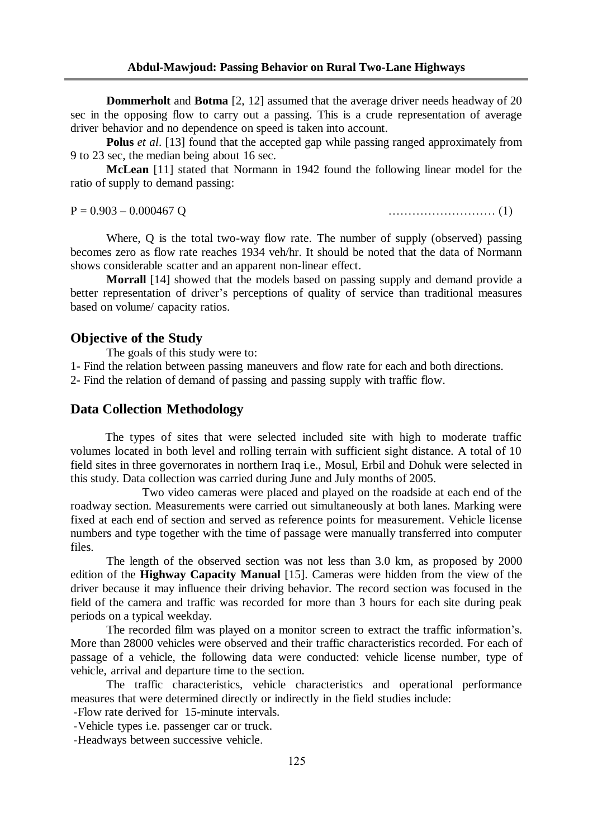**Dommerholt** and **Botma** [2, 12] assumed that the average driver needs headway of 20 sec in the opposing flow to carry out a passing. This is a crude representation of average driver behavior and no dependence on speed is taken into account.

**Polus** *et al*. [13] found that the accepted gap while passing ranged approximately from 9 to 23 sec, the median being about 16 sec.

**McLean** [11] stated that Normann in 1942 found the following linear model for the ratio of supply to demand passing:

P = 0.903 – 0.000467 Q ……………………… (1)

Where, Q is the total two-way flow rate. The number of supply (observed) passing becomes zero as flow rate reaches 1934 veh/hr. It should be noted that the data of Normann shows considerable scatter and an apparent non-linear effect.

**Morrall** [14] showed that the models based on passing supply and demand provide a better representation of driver's perceptions of quality of service than traditional measures based on volume/ capacity ratios.

#### **Objective of the Study**

The goals of this study were to:

1- Find the relation between passing maneuvers and flow rate for each and both directions.

2- Find the relation of demand of passing and passing supply with traffic flow.

### **Data Collection Methodology**

 The types of sites that were selected included site with high to moderate traffic volumes located in both level and rolling terrain with sufficient sight distance. A total of 10 field sites in three governorates in northern Iraq i.e., Mosul, Erbil and Dohuk were selected in this study. Data collection was carried during June and July months of 2005.

 Two video cameras were placed and played on the roadside at each end of the roadway section. Measurements were carried out simultaneously at both lanes. Marking were fixed at each end of section and served as reference points for measurement. Vehicle license numbers and type together with the time of passage were manually transferred into computer files.

The length of the observed section was not less than 3.0 km, as proposed by 2000 edition of the **Highway Capacity Manual** [15]. Cameras were hidden from the view of the driver because it may influence their driving behavior. The record section was focused in the field of the camera and traffic was recorded for more than 3 hours for each site during peak periods on a typical weekday.

The recorded film was played on a monitor screen to extract the traffic information's. More than 28000 vehicles were observed and their traffic characteristics recorded. For each of passage of a vehicle, the following data were conducted: vehicle license number, type of vehicle, arrival and departure time to the section.

The traffic characteristics, vehicle characteristics and operational performance measures that were determined directly or indirectly in the field studies include:

-Flow rate derived for 15-minute intervals.

-Vehicle types i.e. passenger car or truck.

-Headways between successive vehicle.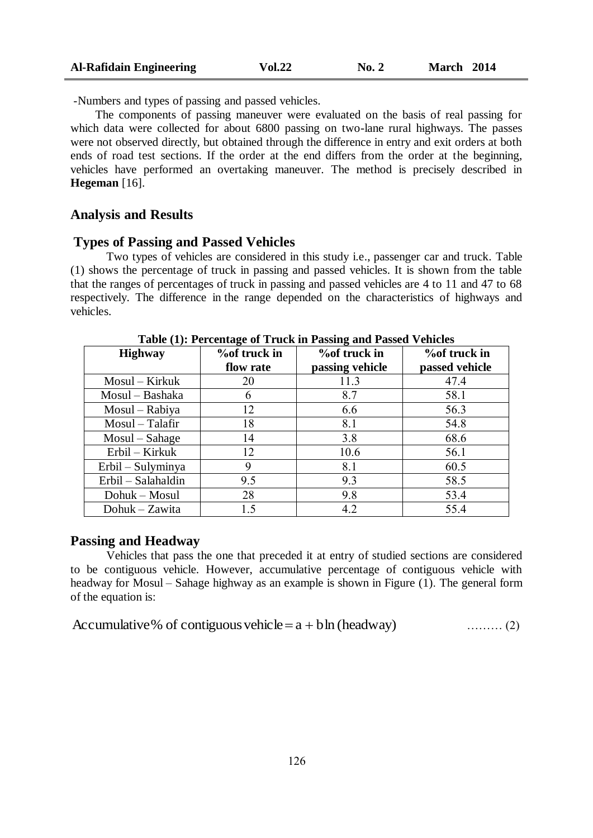| Al-Rafidain Engineering | <b>Vol.22</b> | $\bf{No.} 2$ | March 2014 |
|-------------------------|---------------|--------------|------------|
|-------------------------|---------------|--------------|------------|

-Numbers and types of passing and passed vehicles.

 The components of passing maneuver were evaluated on the basis of real passing for which data were collected for about 6800 passing on two-lane rural highways. The passes were not observed directly, but obtained through the difference in entry and exit orders at both ends of road test sections. If the order at the end differs from the order at the beginning, vehicles have performed an overtaking maneuver. The method is precisely described in **Hegeman** [16].

#### **Analysis and Results**

#### **Types of Passing and Passed Vehicles**

Two types of vehicles are considered in this study i.e., passenger car and truck. Table (1) shows the percentage of truck in passing and passed vehicles. It is shown from the table that the ranges of percentages of truck in passing and passed vehicles are 4 to 11 and 47 to 68 respectively. The difference in the range depended on the characteristics of highways and vehicles.

|                    | -                   |                     |                     |
|--------------------|---------------------|---------------------|---------------------|
| <b>Highway</b>     | <b>%of truck in</b> | <b>%of truck in</b> | <b>%of truck in</b> |
|                    | flow rate           | passing vehicle     | passed vehicle      |
| Mosul – Kirkuk     | 20                  | 11.3                | 47.4                |
| Mosul - Bashaka    | 6                   | 8.7                 | 58.1                |
| Mosul – Rabiya     | 12                  | 6.6                 | 56.3                |
| Mosul - Talafir    | 18                  | 8.1                 | 54.8                |
| $Most-Sahage$      | 14                  | 3.8                 | 68.6                |
| Erbil – Kirkuk     | 12                  | 10.6                | 56.1                |
| Erbil – Sulyminya  | 9                   | 8.1                 | 60.5                |
| Erbil – Salahaldin | 9.5                 | 9.3                 | 58.5                |
| Dohuk – Mosul      | 28                  | 9.8                 | 53.4                |
| Dohuk - Zawita     | 15                  | 4.2                 | 55.4                |

**Table (1): Percentage of Truck in Passing and Passed Vehicles**

### **Passing and Headway**

Vehicles that pass the one that preceded it at entry of studied sections are considered to be contiguous vehicle. However, accumulative percentage of contiguous vehicle with headway for Mosul – Sahage highway as an example is shown in Figure (1). The general form of the equation is:

| Accumulative% of contiguous vehicle = $a + b \ln$ (headway) | $\ldots$ (2) |
|-------------------------------------------------------------|--------------|
|-------------------------------------------------------------|--------------|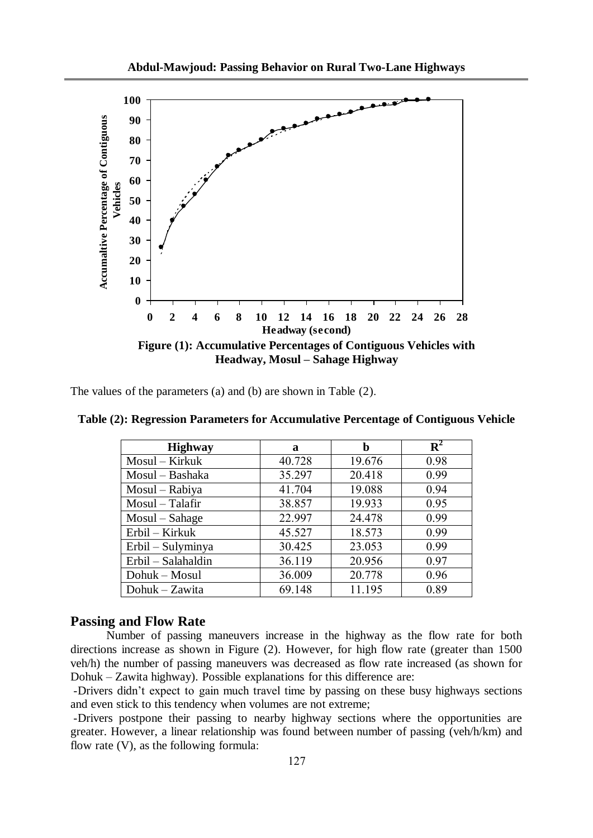

The values of the parameters (a) and (b) are shown in Table (2).

| <b>Highway</b>     | a      | b      | ${\bf R}^2$ |
|--------------------|--------|--------|-------------|
| $Mosul - Kirkuk$   | 40.728 | 19.676 | 0.98        |
| Mosul – Bashaka    | 35.297 | 20.418 | 0.99        |
| Mosul - Rabiya     | 41.704 | 19.088 | 0.94        |
| Mosul - Talafir    | 38.857 | 19.933 | 0.95        |
| Mosul – Sahage     | 22.997 | 24.478 | 0.99        |
| Erbil – Kirkuk     | 45.527 | 18.573 | 0.99        |
| Erbil – Sulyminya  | 30.425 | 23.053 | 0.99        |
| Erbil - Salahaldin | 36.119 | 20.956 | 0.97        |
| Dohuk – Mosul      | 36.009 | 20.778 | 0.96        |
| Dohuk - Zawita     | 69.148 | 11.195 | 0.89        |

**Table (2): Regression Parameters for Accumulative Percentage of Contiguous Vehicle**

### **Passing and Flow Rate**

Number of passing maneuvers increase in the highway as the flow rate for both directions increase as shown in Figure (2). However, for high flow rate (greater than 1500 veh/h) the number of passing maneuvers was decreased as flow rate increased (as shown for Dohuk – Zawita highway). Possible explanations for this difference are:

-Drivers didn't expect to gain much travel time by passing on these busy highways sections and even stick to this tendency when volumes are not extreme;

-Drivers postpone their passing to nearby highway sections where the opportunities are greater. However, a linear relationship was found between number of passing (veh/h/km) and flow rate (V), as the following formula: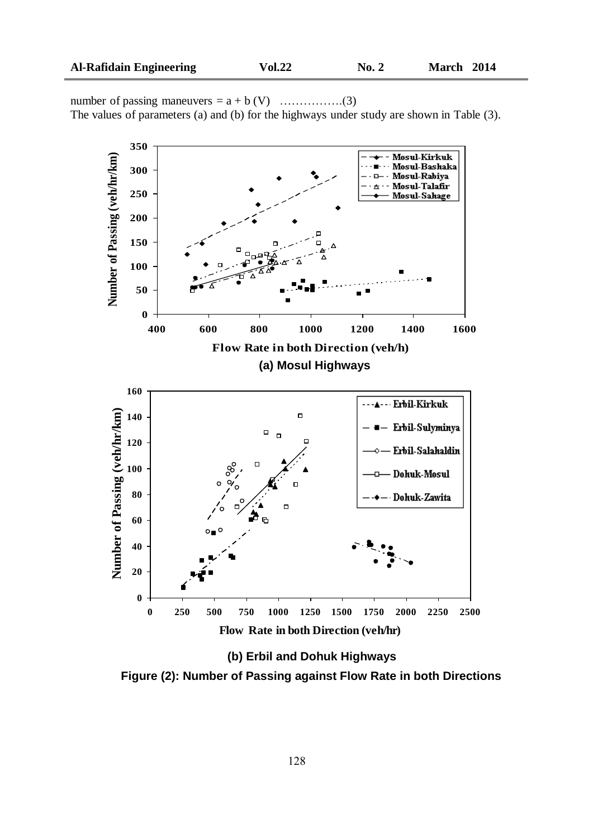number of passing maneuvers =  $a + b$  (V) ……………..(3) The values of parameters (a) and (b) for the highways under study are shown in Table (3).



**(b) Erbil and Dohuk Highways**

**Figure (2): Number of Passing against Flow Rate in both Directions**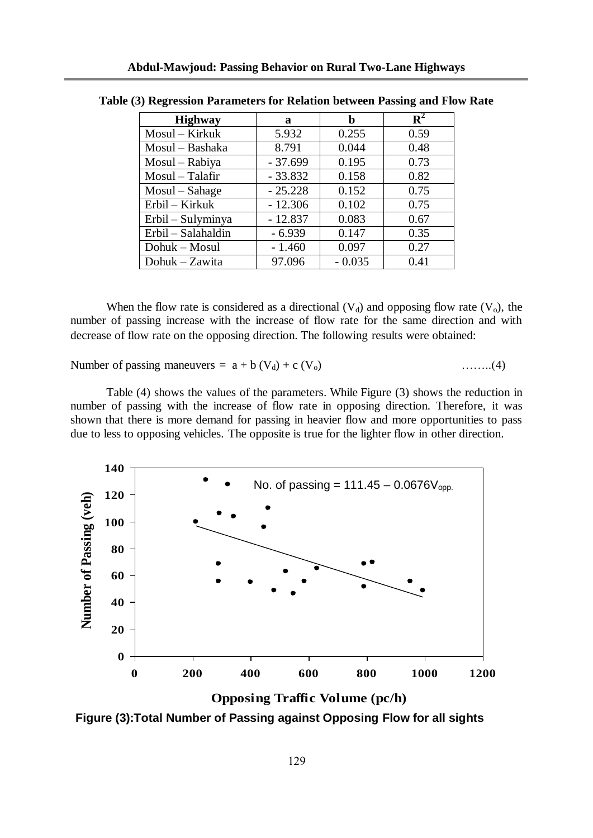| <b>Highway</b>     | Я         | b        | ${\bf R}^2$ |
|--------------------|-----------|----------|-------------|
| Mosul - Kirkuk     | 5.932     | 0.255    | 0.59        |
| Mosul - Bashaka    | 8.791     | 0.044    | 0.48        |
| Mosul - Rabiya     | $-37.699$ | 0.195    | 0.73        |
| Mosul - Talafir    | $-33.832$ | 0.158    | 0.82        |
| Mosul – Sahage     | $-25.228$ | 0.152    | 0.75        |
| Erbil – Kirkuk     | $-12.306$ | 0.102    | 0.75        |
| Erbil – Sulyminya  | $-12.837$ | 0.083    | 0.67        |
| Erbil - Salahaldin | $-6.939$  | 0.147    | 0.35        |
| Dohuk – Mosul      | $-1.460$  | 0.097    | 0.27        |
| Dohuk - Zawita     | 97.096    | $-0.035$ | 0.41        |

**Table (3) Regression Parameters for Relation between Passing and Flow Rate**

When the flow rate is considered as a directional  $(V_d)$  and opposing flow rate  $(V_o)$ , the number of passing increase with the increase of flow rate for the same direction and with decrease of flow rate on the opposing direction. The following results were obtained:

Number of passing maneuvers =  $a + b$  (V<sub>d</sub>) + c (V<sub>o</sub>)  $\dots\dots(4)$ 

Table (4) shows the values of the parameters. While Figure (3) shows the reduction in number of passing with the increase of flow rate in opposing direction. Therefore, it was shown that there is more demand for passing in heavier flow and more opportunities to pass due to less to opposing vehicles. The opposite is true for the lighter flow in other direction.



**Opposing Traffic Volume (pc/h)**

**Figure (3):Total Number of Passing against Opposing Flow for all sights**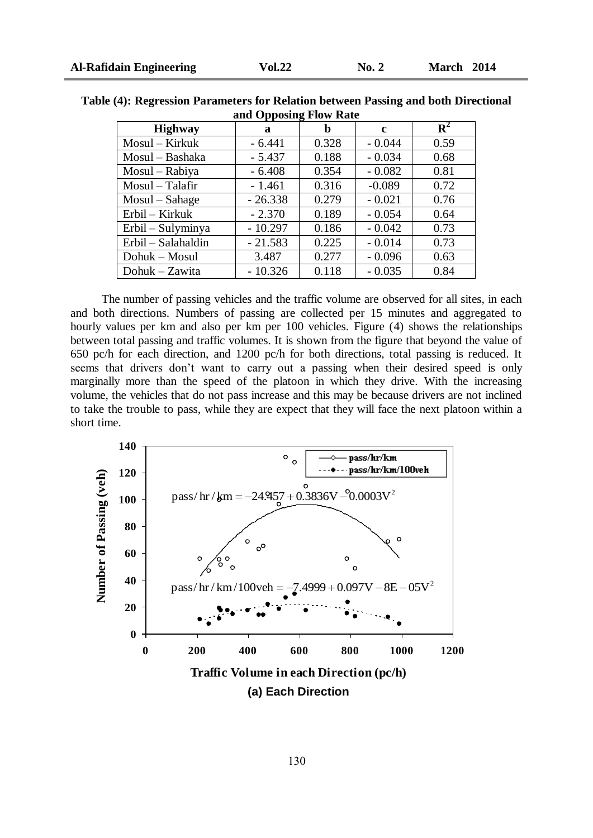| ally Opposing Flow Kate |           |       |              |             |
|-------------------------|-----------|-------|--------------|-------------|
| <b>Highway</b>          | a         | h     | $\mathbf{c}$ | ${\bf R}^2$ |
| Mosul – Kirkuk          | $-6.441$  | 0.328 | $-0.044$     | 0.59        |
| Mosul – Bashaka         | $-5.437$  | 0.188 | $-0.034$     | 0.68        |
| Mosul – Rabiya          | $-6.408$  | 0.354 | $-0.082$     | 0.81        |
| Mosul - Talafir         | $-1.461$  | 0.316 | $-0.089$     | 0.72        |
| Mosul - Sahage          | $-26.338$ | 0.279 | $-0.021$     | 0.76        |
| Erbil – Kirkuk          | $-2.370$  | 0.189 | $-0.054$     | 0.64        |
| Erbil – Sulyminya       | $-10.297$ | 0.186 | $-0.042$     | 0.73        |
| Erbil - Salahaldin      | $-21.583$ | 0.225 | $-0.014$     | 0.73        |
| Dohuk – Mosul           | 3.487     | 0.277 | $-0.096$     | 0.63        |
| Dohuk - Zawita          | $-10.326$ | 0.118 | $-0.035$     | 0.84        |

**Table (4): Regression Parameters for Relation between Passing and both Directional and Opposing Flow Rate**

 The number of passing vehicles and the traffic volume are observed for all sites, in each and both directions. Numbers of passing are collected per 15 minutes and aggregated to hourly values per km and also per km per 100 vehicles. Figure (4) shows the relationships between total passing and traffic volumes. It is shown from the figure that beyond the value of 650 pc/h for each direction, and 1200 pc/h for both directions, total passing is reduced. It seems that drivers don't want to carry out a passing when their desired speed is only marginally more than the speed of the platoon in which they drive. With the increasing volume, the vehicles that do not pass increase and this may be because drivers are not inclined to take the trouble to pass, while they are expect that they will face the next platoon within a short time.

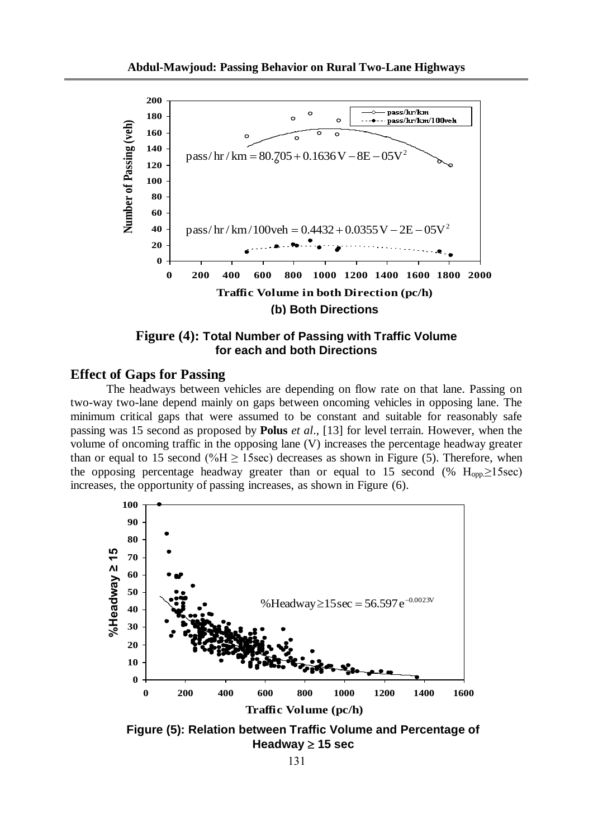

**Figure (4): Total Number of Passing with Traffic Volume for each and both Directions**

# **Effect of Gaps for Passing**

The headways between vehicles are depending on flow rate on that lane. Passing on two-way two-lane depend mainly on gaps between oncoming vehicles in opposing lane. The minimum critical gaps that were assumed to be constant and suitable for reasonably safe passing was 15 second as proposed by **Polus** *et al*., [13] for level terrain. However, when the volume of oncoming traffic in the opposing lane (V) increases the percentage headway greater than or equal to 15 second (%H  $\geq$  15sec) decreases as shown in Figure (5). Therefore, when the opposing percentage headway greater than or equal to 15 second (%  $H_{\text{on}} \ge 15$ sec) increases, the opportunity of passing increases, as shown in Figure (6).



**Figure (5): Relation between Traffic Volume and Percentage of**  Headway  $\geq$  15 sec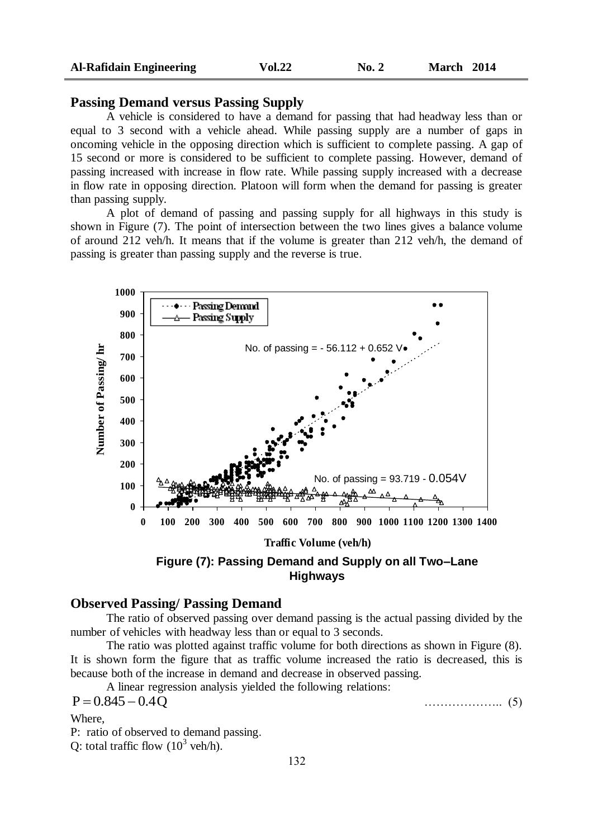# **Passing Demand versus Passing Supply**

A vehicle is considered to have a demand for passing that had headway less than or equal to 3 second with a vehicle ahead. While passing supply are a number of gaps in oncoming vehicle in the opposing direction which is sufficient to complete passing. A gap of 15 second or more is considered to be sufficient to complete passing. However, demand of passing increased with increase in flow rate. While passing supply increased with a decrease in flow rate in opposing direction. Platoon will form when the demand for passing is greater than passing supply.

A plot of demand of passing and passing supply for all highways in this study is shown in Figure (7). The point of intersection between the two lines gives a balance volume of around 212 veh/h. It means that if the volume is greater than 212 veh/h, the demand of passing is greater than passing supply and the reverse is true.



### **Observed Passing/ Passing Demand**

The ratio of observed passing over demand passing is the actual passing divided by the number of vehicles with headway less than or equal to 3 seconds.

The ratio was plotted against traffic volume for both directions as shown in Figure (8). It is shown form the figure that as traffic volume increased the ratio is decreased, this is because both of the increase in demand and decrease in observed passing.

A linear regression analysis yielded the following relations:

$$
P = 0.845 - 0.4Q \tag{5}
$$

Where,

P: ratio of observed to demand passing.

Q: total traffic flow  $(10^3 \text{ veh/h})$ .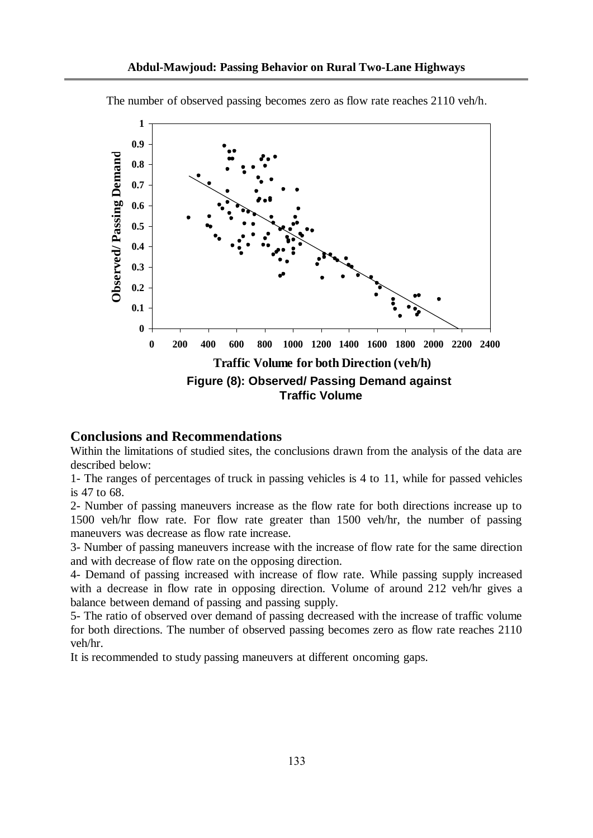

The number of observed passing becomes zero as flow rate reaches 2110 veh/h.

#### **Conclusions and Recommendations**

Within the limitations of studied sites, the conclusions drawn from the analysis of the data are described below:

1- The ranges of percentages of truck in passing vehicles is 4 to 11, while for passed vehicles is 47 to 68.

2- Number of passing maneuvers increase as the flow rate for both directions increase up to 1500 veh/hr flow rate. For flow rate greater than 1500 veh/hr, the number of passing maneuvers was decrease as flow rate increase.

3- Number of passing maneuvers increase with the increase of flow rate for the same direction and with decrease of flow rate on the opposing direction.

4- Demand of passing increased with increase of flow rate. While passing supply increased with a decrease in flow rate in opposing direction. Volume of around 212 veh/hr gives a balance between demand of passing and passing supply.

5- The ratio of observed over demand of passing decreased with the increase of traffic volume for both directions. The number of observed passing becomes zero as flow rate reaches 2110 veh/hr.

It is recommended to study passing maneuvers at different oncoming gaps.